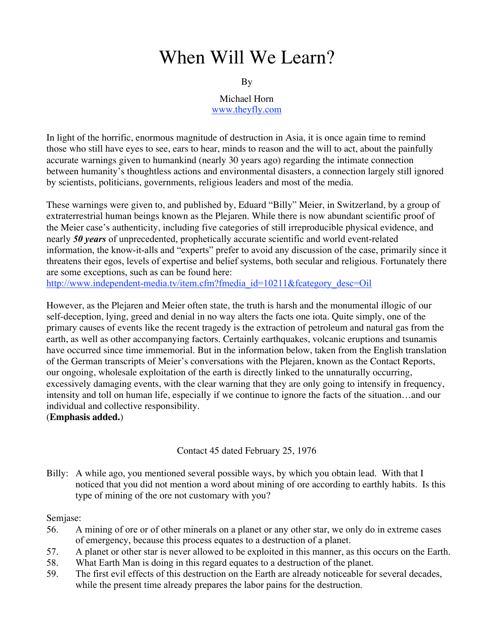# When Will We Learn?

#### By

Michael Horn www.theyfly.com

In light of the horrific, enormous magnitude of destruction in Asia, it is once again time to remind those who still have eyes to see, ears to hear, minds to reason and the will to act, about the painfully accurate warnings given to humankind (nearly 30 years ago) regarding the intimate connection between humanity's thoughtless actions and environmental disasters, a connection largely still ignored by scientists, politicians, governments, religious leaders and most of the media.

These warnings were given to, and published by, Eduard "Billy" Meier, in Switzerland, by a group of extraterrestrial human beings known as the Plejaren. While there is now abundant scientific proof of the Meier case's authenticity, including five categories of still irreproducible physical evidence, and nearly *50 years* of unprecedented, prophetically accurate scientific and world event-related information, the know-it-alls and "experts" prefer to avoid any discussion of the case, primarily since it threatens their egos, levels of expertise and belief systems, both secular and religious. Fortunately there are some exceptions, such as can be found here:

http://www.independent-media.tv/item.cfm?fmedia\_id=10211&fcategory\_desc=Oil

However, as the Plejaren and Meier often state, the truth is harsh and the monumental illogic of our self-deception, lying, greed and denial in no way alters the facts one iota. Quite simply, one of the primary causes of events like the recent tragedy is the extraction of petroleum and natural gas from the earth, as well as other accompanying factors. Certainly earthquakes, volcanic eruptions and tsunamis have occurred since time immemorial. But in the information below, taken from the English translation of the German transcripts of Meier's conversations with the Plejaren, known as the Contact Reports, our ongoing, wholesale exploitation of the earth is directly linked to the unnaturally occurring, excessively damaging events, with the clear warning that they are only going to intensify in frequency, intensity and toll on human life, especially if we continue to ignore the facts of the situation…and our individual and collective responsibility.

(**Emphasis added.**)

Contact 45 dated February 25, 1976

Billy: A while ago, you mentioned several possible ways, by which you obtain lead. With that I noticed that you did not mention a word about mining of ore according to earthly habits. Is this type of mining of the ore not customary with you?

### Semjase:

- 56. A mining of ore or of other minerals on a planet or any other star, we only do in extreme cases of emergency, because this process equates to a destruction of a planet.
- 57. A planet or other star is never allowed to be exploited in this manner, as this occurs on the Earth.
- 58. What Earth Man is doing in this regard equates to a destruction of the planet.
- 59. The first evil effects of this destruction on the Earth are already noticeable for several decades, while the present time already prepares the labor pains for the destruction.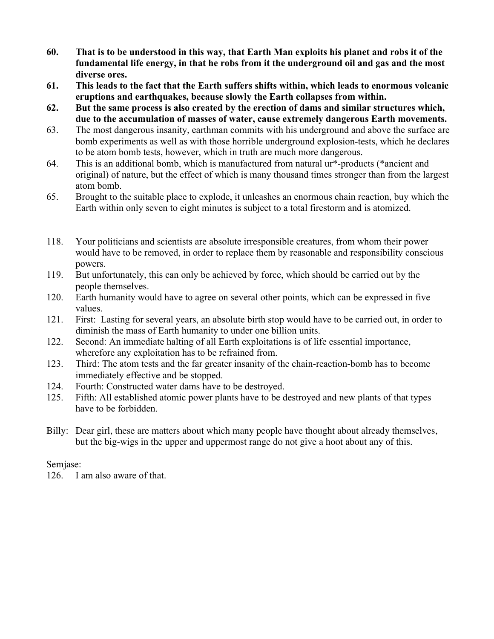- 60. That is to be understood in this way, that Earth Man exploits his planet and robs it of the fundamental life energy, in that he robs from it the underground oil and gas and the most diverse ores.
- 61. This leads to the fact that the Earth suffers shifts within, which leads to enormous volcanic eruptions and earthquakes, because slowly the Earth collapses from within.
- 62. But the same process is also created by the erection of dams and similar structures which, due to the accumulation of masses of water, cause extremely dangerous Earth movements.
- 63. The most dangerous insanity, earthman commits with his underground and above the surface are bomb experiments as well as with those horrible underground explosion-tests, which he declares to be atom bomb tests, however, which in truth are much more dangerous.
- 64. This is an additional bomb, which is manufactured from natural ur\*-products (\*ancient and original) of nature, but the effect of which is many thousand times stronger than from the largest atom bomb.
- 65. Brought to the suitable place to explode, it unleashes an enormous chain reaction, buy which the Earth within only seven to eight minutes is subject to a total firestorm and is atomized.
- 118. Your politicians and scientists are absolute irresponsible creatures, from whom their power would have to be removed, in order to replace them by reasonable and responsibility conscious powers.
- 119. But unfortunately, this can only be achieved by force, which should be carried out by the people themselves.
- 120. Earth humanity would have to agree on several other points, which can be expressed in five values.
- 121. First: Lasting for several years, an absolute birth stop would have to be carried out, in order to diminish the mass of Earth humanity to under one billion units.
- 122. Second: An immediate halting of all Earth exploitations is of life essential importance, wherefore any exploitation has to be refrained from.
- 123. Third: The atom tests and the far greater insanity of the chain-reaction-bomb has to become immediately effective and be stopped.
- 124. Fourth: Constructed water dams have to be destroyed.
- 125. Fifth: All established atomic power plants have to be destroyed and new plants of that types have to be forbidden.
- Billy: Dear girl, these are matters about which many people have thought about already themselves, but the big-wigs in the upper and uppermost range do not give a hoot about any of this.

## Semjase:

126. I am also aware of that.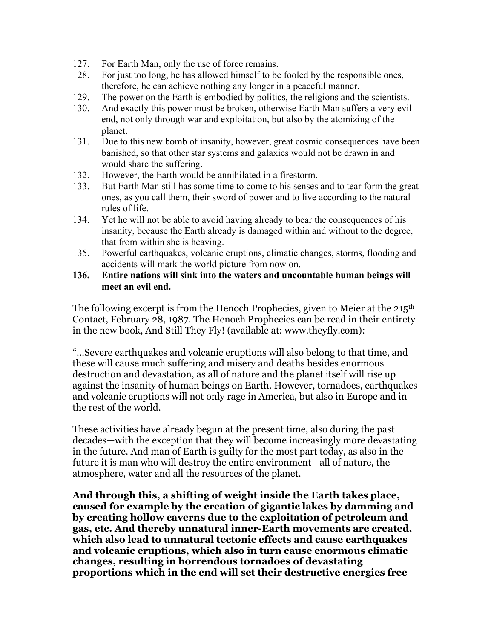- 127. For Earth Man, only the use of force remains.
- 128. For just too long, he has allowed himself to be fooled by the responsible ones, therefore, he can achieve nothing any longer in a peaceful manner.
- 129. The power on the Earth is embodied by politics, the religions and the scientists.
- 130. And exactly this power must be broken, otherwise Earth Man suffers a very evil end, not only through war and exploitation, but also by the atomizing of the planet.
- 131. Due to this new bomb of insanity, however, great cosmic consequences have been banished, so that other star systems and galaxies would not be drawn in and would share the suffering.
- 132. However, the Earth would be annihilated in a firestorm.
- 133. But Earth Man still has some time to come to his senses and to tear form the great ones, as you call them, their sword of power and to live according to the natural rules of life.
- 134. Yet he will not be able to avoid having already to bear the consequences of his insanity, because the Earth already is damaged within and without to the degree, that from within she is heaving.
- 135. Powerful earthquakes, volcanic eruptions, climatic changes, storms, flooding and accidents will mark the world picture from now on.
- 136. Entire nations will sink into the waters and uncountable human beings will meet an evil end.

The following excerpt is from the Henoch Prophecies, given to Meier at the 215<sup>th</sup> Contact, February 28, 1987. The Henoch Prophecies can be read in their entirety in the new book, And Still They Fly! (available at: www.theyfly.com):

"…Severe earthquakes and volcanic eruptions will also belong to that time, and these will cause much suffering and misery and deaths besides enormous destruction and devastation, as all of nature and the planet itself will rise up against the insanity of human beings on Earth. However, tornadoes, earthquakes and volcanic eruptions will not only rage in America, but also in Europe and in the rest of the world.

These activities have already begun at the present time, also during the past decades—with the exception that they will become increasingly more devastating in the future. And man of Earth is guilty for the most part today, as also in the future it is man who will destroy the entire environment—all of nature, the atmosphere, water and all the resources of the planet.

**And through this, a shifting of weight inside the Earth takes place, caused for example by the creation of gigantic lakes by damming and by creating hollow caverns due to the exploitation of petroleum and gas, etc. And thereby unnatural inner-Earth movements are created, which also lead to unnatural tectonic effects and cause earthquakes and volcanic eruptions, which also in turn cause enormous climatic changes, resulting in horrendous tornadoes of devastating proportions which in the end will set their destructive energies free**